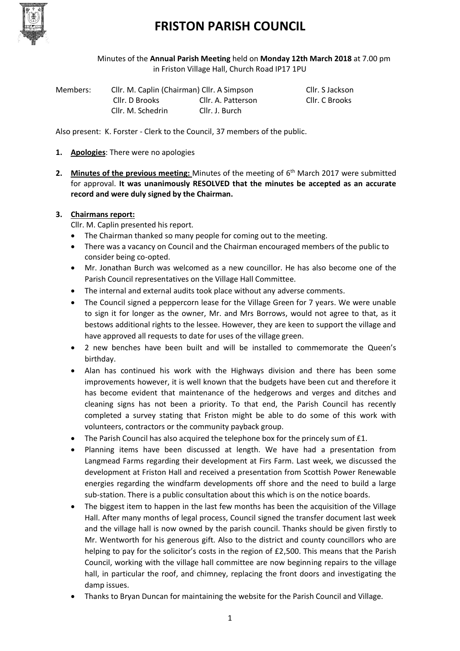

Minutes of the **Annual Parish Meeting** held on **Monday 12th March 2018** at 7.00 pm in Friston Village Hall, Church Road IP17 1PU

| Members: | Cllr. M. Caplin (Chairman) Cllr. A Simpson |                    | Cllr. S Jackson |
|----------|--------------------------------------------|--------------------|-----------------|
|          | Cllr. D Brooks                             | Cllr. A. Patterson | Cllr. C Brooks  |
|          | Cllr. M. Schedrin                          | Cllr. J. Burch     |                 |

Also present: K. Forster - Clerk to the Council, 37 members of the public.

- **1. Apologies**: There were no apologies
- 2. Minutes of the previous meeting: Minutes of the meeting of 6<sup>th</sup> March 2017 were submitted for approval. **It was unanimously RESOLVED that the minutes be accepted as an accurate record and were duly signed by the Chairman.**

#### **3. Chairmans report:**

Cllr. M. Caplin presented his report.

- The Chairman thanked so many people for coming out to the meeting.
- There was a vacancy on Council and the Chairman encouraged members of the public to consider being co-opted.
- Mr. Jonathan Burch was welcomed as a new councillor. He has also become one of the Parish Council representatives on the Village Hall Committee.
- The internal and external audits took place without any adverse comments.
- The Council signed a peppercorn lease for the Village Green for 7 years. We were unable to sign it for longer as the owner, Mr. and Mrs Borrows, would not agree to that, as it bestows additional rights to the lessee. However, they are keen to support the village and have approved all requests to date for uses of the village green.
- 2 new benches have been built and will be installed to commemorate the Queen's birthday.
- Alan has continued his work with the Highways division and there has been some improvements however, it is well known that the budgets have been cut and therefore it has become evident that maintenance of the hedgerows and verges and ditches and cleaning signs has not been a priority. To that end, the Parish Council has recently completed a survey stating that Friston might be able to do some of this work with volunteers, contractors or the community payback group.
- The Parish Council has also acquired the telephone box for the princely sum of £1.
- Planning items have been discussed at length. We have had a presentation from Langmead Farms regarding their development at Firs Farm. Last week, we discussed the development at Friston Hall and received a presentation from Scottish Power Renewable energies regarding the windfarm developments off shore and the need to build a large sub-station. There is a public consultation about this which is on the notice boards.
- The biggest item to happen in the last few months has been the acquisition of the Village Hall. After many months of legal process, Council signed the transfer document last week and the village hall is now owned by the parish council. Thanks should be given firstly to Mr. Wentworth for his generous gift. Also to the district and county councillors who are helping to pay for the solicitor's costs in the region of £2,500. This means that the Parish Council, working with the village hall committee are now beginning repairs to the village hall, in particular the roof, and chimney, replacing the front doors and investigating the damp issues.
- Thanks to Bryan Duncan for maintaining the website for the Parish Council and Village.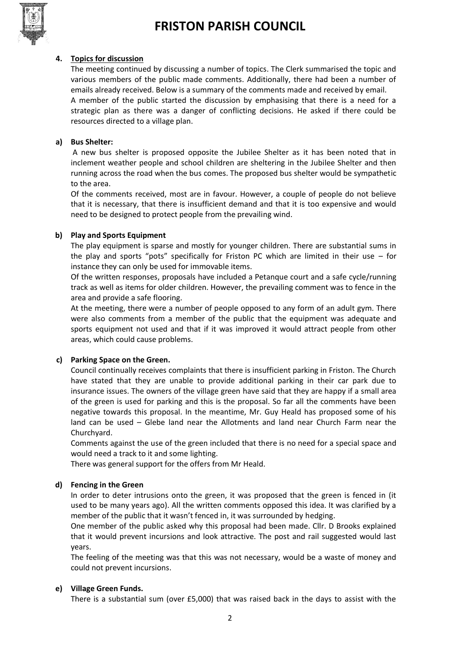

#### **4. Topics for discussion**

The meeting continued by discussing a number of topics. The Clerk summarised the topic and various members of the public made comments. Additionally, there had been a number of emails already received. Below is a summary of the comments made and received by email. A member of the public started the discussion by emphasising that there is a need for a strategic plan as there was a danger of conflicting decisions. He asked if there could be resources directed to a village plan.

#### **a) Bus Shelter:**

A new bus shelter is proposed opposite the Jubilee Shelter as it has been noted that in inclement weather people and school children are sheltering in the Jubilee Shelter and then running across the road when the bus comes. The proposed bus shelter would be sympathetic to the area.

Of the comments received, most are in favour. However, a couple of people do not believe that it is necessary, that there is insufficient demand and that it is too expensive and would need to be designed to protect people from the prevailing wind.

#### **b) Play and Sports Equipment**

The play equipment is sparse and mostly for younger children. There are substantial sums in the play and sports "pots" specifically for Friston PC which are limited in their use – for instance they can only be used for immovable items.

Of the written responses, proposals have included a Petanque court and a safe cycle/running track as well as items for older children. However, the prevailing comment was to fence in the area and provide a safe flooring.

At the meeting, there were a number of people opposed to any form of an adult gym. There were also comments from a member of the public that the equipment was adequate and sports equipment not used and that if it was improved it would attract people from other areas, which could cause problems.

#### **c) Parking Space on the Green.**

Council continually receives complaints that there is insufficient parking in Friston. The Church have stated that they are unable to provide additional parking in their car park due to insurance issues. The owners of the village green have said that they are happy if a small area of the green is used for parking and this is the proposal. So far all the comments have been negative towards this proposal. In the meantime, Mr. Guy Heald has proposed some of his land can be used – Glebe land near the Allotments and land near Church Farm near the Churchyard.

Comments against the use of the green included that there is no need for a special space and would need a track to it and some lighting.

There was general support for the offers from Mr Heald.

#### **d) Fencing in the Green**

In order to deter intrusions onto the green, it was proposed that the green is fenced in (it used to be many years ago). All the written comments opposed this idea. It was clarified by a member of the public that it wasn't fenced in, it was surrounded by hedging.

One member of the public asked why this proposal had been made. Cllr. D Brooks explained that it would prevent incursions and look attractive. The post and rail suggested would last years.

The feeling of the meeting was that this was not necessary, would be a waste of money and could not prevent incursions.

#### **e) Village Green Funds.**

There is a substantial sum (over £5,000) that was raised back in the days to assist with the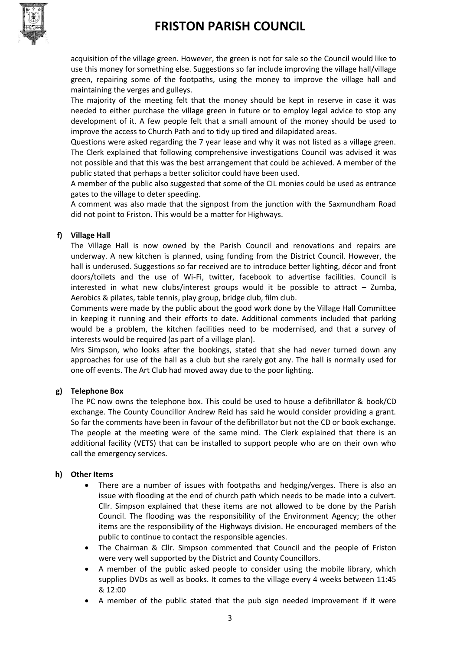

acquisition of the village green. However, the green is not for sale so the Council would like to use this money for something else. Suggestions so far include improving the village hall/village green, repairing some of the footpaths, using the money to improve the village hall and maintaining the verges and gulleys.

The majority of the meeting felt that the money should be kept in reserve in case it was needed to either purchase the village green in future or to employ legal advice to stop any development of it. A few people felt that a small amount of the money should be used to improve the access to Church Path and to tidy up tired and dilapidated areas.

Questions were asked regarding the 7 year lease and why it was not listed as a village green. The Clerk explained that following comprehensive investigations Council was advised it was not possible and that this was the best arrangement that could be achieved. A member of the public stated that perhaps a better solicitor could have been used.

A member of the public also suggested that some of the CIL monies could be used as entrance gates to the village to deter speeding.

A comment was also made that the signpost from the junction with the Saxmundham Road did not point to Friston. This would be a matter for Highways.

#### **f) Village Hall**

The Village Hall is now owned by the Parish Council and renovations and repairs are underway. A new kitchen is planned, using funding from the District Council. However, the hall is underused. Suggestions so far received are to introduce better lighting, décor and front doors/toilets and the use of Wi-Fi, twitter, facebook to advertise facilities. Council is interested in what new clubs/interest groups would it be possible to attract – Zumba, Aerobics & pilates, table tennis, play group, bridge club, film club.

Comments were made by the public about the good work done by the Village Hall Committee in keeping it running and their efforts to date. Additional comments included that parking would be a problem, the kitchen facilities need to be modernised, and that a survey of interests would be required (as part of a village plan).

Mrs Simpson, who looks after the bookings, stated that she had never turned down any approaches for use of the hall as a club but she rarely got any. The hall is normally used for one off events. The Art Club had moved away due to the poor lighting.

#### **g) Telephone Box**

The PC now owns the telephone box. This could be used to house a defibrillator & book/CD exchange. The County Councillor Andrew Reid has said he would consider providing a grant. So far the comments have been in favour of the defibrillator but not the CD or book exchange. The people at the meeting were of the same mind. The Clerk explained that there is an additional facility (VETS) that can be installed to support people who are on their own who call the emergency services.

#### **h) Other Items**

- There are a number of issues with footpaths and hedging/verges. There is also an issue with flooding at the end of church path which needs to be made into a culvert. Cllr. Simpson explained that these items are not allowed to be done by the Parish Council. The flooding was the responsibility of the Environment Agency; the other items are the responsibility of the Highways division. He encouraged members of the public to continue to contact the responsible agencies.
- The Chairman & Cllr. Simpson commented that Council and the people of Friston were very well supported by the District and County Councillors.
- A member of the public asked people to consider using the mobile library, which supplies DVDs as well as books. It comes to the village every 4 weeks between 11:45 & 12:00
- A member of the public stated that the pub sign needed improvement if it were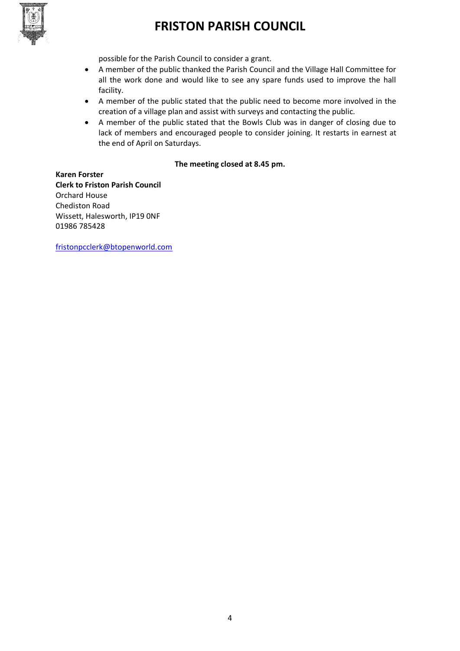

possible for the Parish Council to consider a grant.

- A member of the public thanked the Parish Council and the Village Hall Committee for all the work done and would like to see any spare funds used to improve the hall facility.
- A member of the public stated that the public need to become more involved in the creation of a village plan and assist with surveys and contacting the public.
- A member of the public stated that the Bowls Club was in danger of closing due to lack of members and encouraged people to consider joining. It restarts in earnest at the end of April on Saturdays.

#### **The meeting closed at 8.45 pm.**

**Karen Forster Clerk to Friston Parish Council** Orchard House Chediston Road Wissett, Halesworth, IP19 0NF 01986 785428

[fristonpcclerk@btopenworld.com](mailto:fristonpcclerk@btopenworld.com)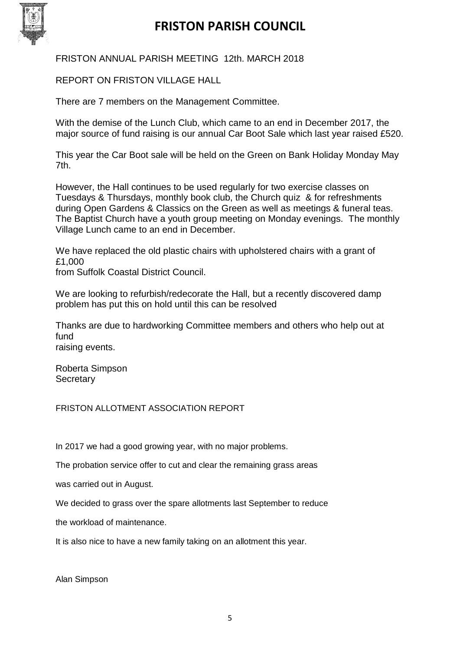

FRISTON ANNUAL PARISH MEETING 12th. MARCH 2018

REPORT ON FRISTON VILLAGE HALL

There are 7 members on the Management Committee.

With the demise of the Lunch Club, which came to an end in December 2017, the major source of fund raising is our annual Car Boot Sale which last year raised £520.

This year the Car Boot sale will be held on the Green on Bank Holiday Monday May 7th.

However, the Hall continues to be used regularly for two exercise classes on Tuesdays & Thursdays, monthly book club, the Church quiz & for refreshments during Open Gardens & Classics on the Green as well as meetings & funeral teas. The Baptist Church have a youth group meeting on Monday evenings. The monthly Village Lunch came to an end in December.

We have replaced the old plastic chairs with upholstered chairs with a grant of £1,000

from Suffolk Coastal District Council.

We are looking to refurbish/redecorate the Hall, but a recently discovered damp problem has put this on hold until this can be resolved

Thanks are due to hardworking Committee members and others who help out at fund raising events.

Roberta Simpson **Secretary** 

FRISTON ALLOTMENT ASSOCIATION REPORT

In 2017 we had a good growing year, with no major problems.

The probation service offer to cut and clear the remaining grass areas

was carried out in August.

We decided to grass over the spare allotments last September to reduce

the workload of maintenance.

It is also nice to have a new family taking on an allotment this year.

Alan Simpson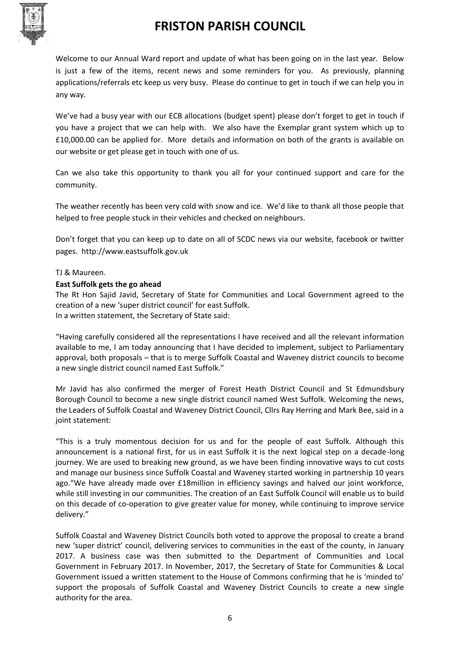

Welcome to our Annual Ward report and update of what has been going on in the last year. Below is just a few of the items, recent news and some reminders for you. As previously, planning applications/referrals etc keep us very busy. Please do continue to get in touch if we can help you in any way.

We've had a busy year with our ECB allocations (budget spent) please don't forget to get in touch if you have a project that we can help with. We also have the Exemplar grant system which up to £10,000.00 can be applied for. More details and information on both of the grants is available on our website or get please get in touch with one of us.

Can we also take this opportunity to thank you all for your continued support and care for the community.

The weather recently has been very cold with snow and ice. We'd like to thank all those people that helped to free people stuck in their vehicles and checked on neighbours.

Don't forget that you can keep up to date on all of SCDC news via our website, facebook or twitter pages. http://www.eastsuffolk.gov.uk

#### TJ & Maureen.

#### **East Suffolk gets the go ahead**

The Rt Hon Sajid Javid, Secretary of State for Communities and Local Government agreed to the creation of a new 'super district council' for east Suffolk. In a written statement, the Secretary of State said:

"Having carefully considered all the representations I have received and all the relevant information available to me, I am today announcing that I have decided to implement, subject to Parliamentary approval, both proposals – that is to merge Suffolk Coastal and Waveney district councils to become a new single district council named East Suffolk."

Mr Javid has also confirmed the merger of Forest Heath District Council and St Edmundsbury Borough Council to become a new single district council named West Suffolk. Welcoming the news, the Leaders of Suffolk Coastal and Waveney District Council, Cllrs Ray Herring and Mark Bee, said in a joint statement:

"This is a truly momentous decision for us and for the people of east Suffolk. Although this announcement is a national first, for us in east Suffolk it is the next logical step on a decade-long journey. We are used to breaking new ground, as we have been finding innovative ways to cut costs and manage our business since Suffolk Coastal and Waveney started working in partnership 10 years ago."We have already made over £18million in efficiency savings and halved our joint workforce, while still investing in our communities. The creation of an East Suffolk Council will enable us to build on this decade of co-operation to give greater value for money, while continuing to improve service delivery."

Suffolk Coastal and Waveney District Councils both voted to approve the proposal to create a brand new 'super district' council, delivering services to communities in the east of the county, in January 2017. A business case was then submitted to the Department of Communities and Local Government in February 2017. In November, 2017, the Secretary of State for Communities & Local Government issued a written statement to the House of Commons confirming that he is 'minded to' support the proposals of Suffolk Coastal and Waveney District Councils to create a new single authority for the area.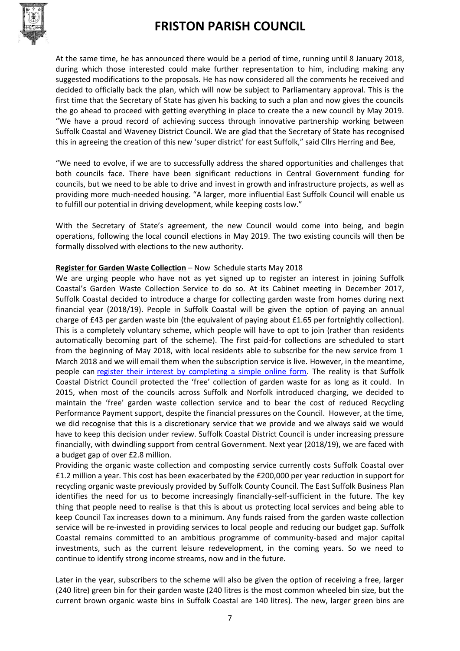

At the same time, he has announced there would be a period of time, running until 8 January 2018, during which those interested could make further representation to him, including making any suggested modifications to the proposals. He has now considered all the comments he received and decided to officially back the plan, which will now be subject to Parliamentary approval. This is the first time that the Secretary of State has given his backing to such a plan and now gives the councils the go ahead to proceed with getting everything in place to create the a new council by May 2019. "We have a proud record of achieving success through innovative partnership working between Suffolk Coastal and Waveney District Council. We are glad that the Secretary of State has recognised this in agreeing the creation of this new 'super district' for east Suffolk," said Cllrs Herring and Bee,

"We need to evolve, if we are to successfully address the shared opportunities and challenges that both councils face. There have been significant reductions in Central Government funding for councils, but we need to be able to drive and invest in growth and infrastructure projects, as well as providing more much-needed housing. "A larger, more influential East Suffolk Council will enable us to fulfill our potential in driving development, while keeping costs low."

With the Secretary of State's agreement, the new Council would come into being, and begin operations, following the local council elections in May 2019. The two existing councils will then be formally dissolved with elections to the new authority.

#### **Register for Garden Waste Collection** – Now Schedule starts May 2018

We are urging people who have not as yet signed up to register an interest in joining Suffolk Coastal's Garden Waste Collection Service to do so. At its Cabinet meeting in December 2017, Suffolk Coastal decided to introduce a charge for collecting garden waste from homes during next financial year (2018/19). People in Suffolk Coastal will be given the option of paying an annual charge of £43 per garden waste bin (the equivalent of paying about £1.65 per fortnightly collection). This is a completely voluntary scheme, which people will have to opt to join (rather than residents automatically becoming part of the scheme). The first paid-for collections are scheduled to start from the beginning of May 2018, with local residents able to subscribe for the new service from 1 March 2018 and we will email them when the subscription service is live. However, in the meantime, people can [register their interest by completing a simple online form.](https://my.eastsuffolk.gov.uk/en/AchieveForms/?form_uri=sandbox-publish://AF-Process-c416ca3f-e181-4a44-9a98-c237b0bab3bc/AF-Stage-5ce53052-8d25-4a2c-8626-9f049a61f8e0/definition.json&redirectlink=%2F&cancelRedirectLink=%2F) The reality is that Suffolk Coastal District Council protected the 'free' collection of garden waste for as long as it could. In 2015, when most of the councils across Suffolk and Norfolk introduced charging, we decided to maintain the 'free' garden waste collection service and to bear the cost of reduced Recycling Performance Payment support, despite the financial pressures on the Council. However, at the time, we did recognise that this is a discretionary service that we provide and we always said we would have to keep this decision under review. Suffolk Coastal District Council is under increasing pressure financially, with dwindling support from central Government. Next year (2018/19), we are faced with a budget gap of over £2.8 million.

Providing the organic waste collection and composting service currently costs Suffolk Coastal over £1.2 million a year. This cost has been exacerbated by the £200,000 per year reduction in support for recycling organic waste previously provided by Suffolk County Council. The East Suffolk Business Plan identifies the need for us to become increasingly financially-self-sufficient in the future. The key thing that people need to realise is that this is about us protecting local services and being able to keep Council Tax increases down to a minimum. Any funds raised from the garden waste collection service will be re-invested in providing services to local people and reducing our budget gap. Suffolk Coastal remains committed to an ambitious programme of community-based and major capital investments, such as the current leisure redevelopment, in the coming years. So we need to continue to identify strong income streams, now and in the future.

Later in the year, subscribers to the scheme will also be given the option of receiving a free, larger (240 litre) green bin for their garden waste (240 litres is the most common wheeled bin size, but the current brown organic waste bins in Suffolk Coastal are 140 litres). The new, larger green bins are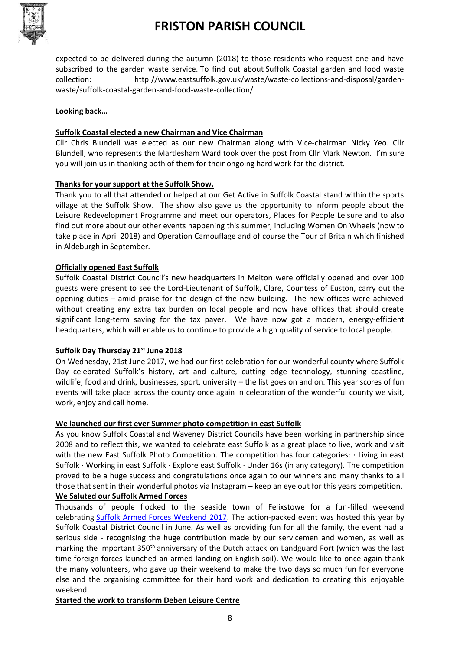

expected to be delivered during the autumn (2018) to those residents who request one and have subscribed to the garden waste service. To find out about Suffolk Coastal garden and food waste collection: http://www.eastsuffolk.gov.uk/waste/waste-collections-and-disposal/gardenwaste/suffolk-coastal-garden-and-food-waste-collection/

#### **Looking back…**

#### **Suffolk Coastal elected a new Chairman and Vice Chairman**

Cllr Chris Blundell was elected as our new Chairman along with Vice-chairman Nicky Yeo. Cllr Blundell, who represents the Martlesham Ward took over the post from Cllr Mark Newton. I'm sure you will join us in thanking both of them for their ongoing hard work for the district.

#### **Thanks for your support at the Suffolk Show.**

Thank you to all that attended or helped at our Get Active in Suffolk Coastal stand within the sports village at the Suffolk Show. The show also gave us the opportunity to inform people about the Leisure Redevelopment Programme and meet our operators, Places for People Leisure and to also find out more about our other events happening this summer, including Women On Wheels (now to take place in April 2018) and Operation Camouflage and of course the Tour of Britain which finished in Aldeburgh in September.

#### **Officially opened East Suffolk**

Suffolk Coastal District Council's new headquarters in Melton were officially opened and over 100 guests were present to see the Lord-Lieutenant of Suffolk, Clare, Countess of Euston, carry out the opening duties – amid praise for the design of the new building. The new offices were achieved without creating any extra tax burden on local people and now have offices that should create significant long-term saving for the tax payer. We have now got a modern, energy-efficient headquarters, which will enable us to continue to provide a high quality of service to local people.

#### **Suffolk Day Thursday 21st June 2018**

On Wednesday, 21st June 2017, we had our first celebration for our wonderful county where Suffolk Day celebrated Suffolk's history, art and culture, cutting edge technology, stunning coastline, wildlife, food and drink, businesses, sport, university – the list goes on and on. This year scores of fun events will take place across the county once again in celebration of the wonderful county we visit, work, enjoy and call home.

#### **We launched our first ever Summer photo competition in east Suffolk**

As you know Suffolk Coastal and Waveney District Councils have been working in partnership since 2008 and to reflect this, we wanted to celebrate east Suffolk as a great place to live, work and visit with the new East Suffolk Photo Competition. The competition has four categories:  $\cdot$  Living in east Suffolk · Working in east Suffolk · Explore east Suffolk · Under 16s (in any category). The competition proved to be a huge success and congratulations once again to our winners and many thanks to all those that sent in their wonderful photos via Instagram – keep an eye out for this years competition. **We Saluted our Suffolk Armed Forces**

Thousands of people flocked to the seaside town of Felixstowe for a fun-filled weekend celebrating [Suffolk Armed Forces Weekend 2017.](http://www.visitfelixstowe.org.uk/suffolk-armed-forces-weekend) The action-packed event was hosted this year by Suffolk Coastal District Council in June. As well as providing fun for all the family, the event had a serious side - recognising the huge contribution made by our servicemen and women, as well as marking the important 350<sup>th</sup> anniversary of the Dutch attack on Landguard Fort (which was the last time foreign forces launched an armed landing on English soil). We would like to once again thank the many volunteers, who gave up their weekend to make the two days so much fun for everyone else and the organising committee for their hard work and dedication to creating this enjoyable weekend.

#### **Started the work to transform Deben Leisure Centre**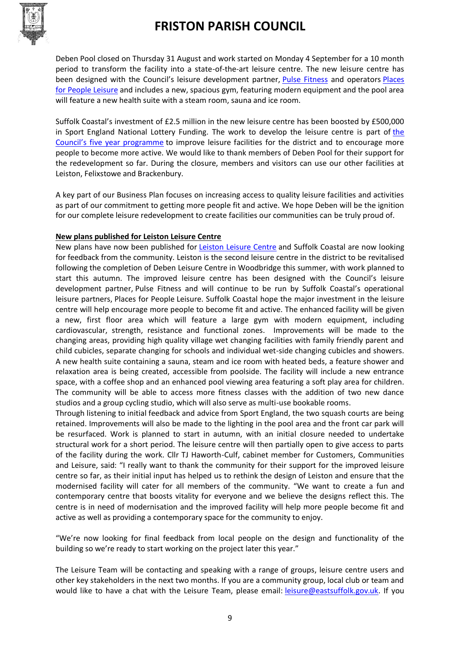

Deben Pool closed on Thursday 31 August and work started on Monday 4 September for a 10 month period to transform the facility into a state-of-the-art leisure centre. The new leisure centre has been designed with the Council's leisure development partner, [Pulse Fitness](http://thepulsegroup.co.uk/pulse-fitness/) and operators [Places](https://www.placesforpeopleleisure.org/)  [for People Leisure](https://www.placesforpeopleleisure.org/) and includes a new, spacious gym, featuring modern equipment and the pool area will feature a new health suite with a steam room, sauna and ice room.

Suffolk Coastal's investment of £2.5 million in the new leisure centre has been boosted by £500,000 in Sport England National Lottery Funding. The work to develop the leisure centre is part of [the](http://www.eastsuffolk.gov.uk/leisure/sportandleisuredevelopment/suffolk-coastals-leisure-centre-redevelopment-programme/)  [Council's five year programme](http://www.eastsuffolk.gov.uk/leisure/sportandleisuredevelopment/suffolk-coastals-leisure-centre-redevelopment-programme/) to improve leisure facilities for the district and to encourage more people to become more active. We would like to thank members of Deben Pool for their support for the redevelopment so far. During the closure, members and visitors can use our other facilities at Leiston, Felixstowe and Brackenbury.

A key part of our Business Plan focuses on increasing access to quality leisure facilities and activities as part of our commitment to getting more people fit and active. We hope Deben will be the ignition for our complete leisure redevelopment to create facilities our communities can be truly proud of.

#### **New plans published for Leiston Leisure Centre**

New plans have now been published for **[Leiston Leisure Centre](http://www.eastsuffolk.gov.uk/leisure/sportandleisuredevelopment/suffolk-coastals-leisure-centre-redevelopment-programme/leiston-leisure-centre/) and Suffolk Coastal are now looking** for feedback from the community. Leiston is the second leisure centre in the district to be revitalised following the completion of Deben Leisure Centre in Woodbridge this summer, with work planned to start this autumn. The improved leisure centre has been designed with the Council's leisure development partner, Pulse Fitness and will continue to be run by Suffolk Coastal's operational leisure partners, Places for People Leisure. Suffolk Coastal hope the major investment in the leisure centre will help encourage more people to become fit and active. The enhanced facility will be given a new, first floor area which will feature a large gym with modern equipment, including cardiovascular, strength, resistance and functional zones. Improvements will be made to the changing areas, providing high quality village wet changing facilities with family friendly parent and child cubicles, separate changing for schools and individual wet-side changing cubicles and showers. A new health suite containing a sauna, steam and ice room with heated beds, a feature shower and relaxation area is being created, accessible from poolside. The facility will include a new entrance space, with a coffee shop and an enhanced pool viewing area featuring a soft play area for children. The community will be able to access more fitness classes with the addition of two new dance studios and a group cycling studio, which will also serve as multi-use bookable rooms.

Through listening to initial feedback and advice from Sport England, the two squash courts are being retained. Improvements will also be made to the lighting in the pool area and the front car park will be resurfaced. Work is planned to start in autumn, with an initial closure needed to undertake structural work for a short period. The leisure centre will then partially open to give access to parts of the facility during the work. Cllr TJ Haworth-Culf, cabinet member for Customers, Communities and Leisure, said: "I really want to thank the community for their support for the improved leisure centre so far, as their initial input has helped us to rethink the design of Leiston and ensure that the modernised facility will cater for all members of the community. "We want to create a fun and contemporary centre that boosts vitality for everyone and we believe the designs reflect this. The centre is in need of modernisation and the improved facility will help more people become fit and active as well as providing a contemporary space for the community to enjoy.

"We're now looking for final feedback from local people on the design and functionality of the building so we're ready to start working on the project later this year."

The Leisure Team will be contacting and speaking with a range of groups, leisure centre users and other key stakeholders in the next two months. If you are a community group, local club or team and would like to have a chat with the Leisure Team, please email: [leisure@eastsuffolk.gov.uk.](mailto:leisure@eastsuffolk.gov.uk) If you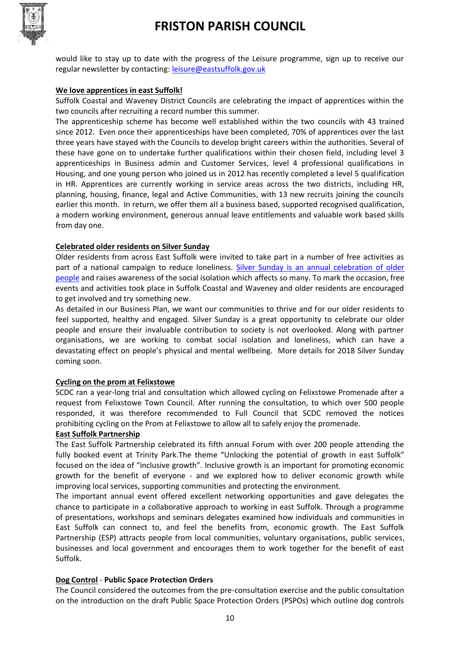

would like to stay up to date with the progress of the Leisure programme, sign up to receive our regular newsletter by contacting: [leisure@eastsuffolk.gov.uk](mailto:leisure@eastsuffolk.gov.uk)

#### **We love apprentices in east Suffolk!**

Suffolk Coastal and Waveney District Councils are celebrating the impact of apprentices within the two councils after recruiting a record number this summer.

The apprenticeship scheme has become well established within the two councils with 43 trained since 2012. Even once their apprenticeships have been completed, 70% of apprentices over the last three years have stayed with the Councils to develop bright careers within the authorities. Several of these have gone on to undertake further qualifications within their chosen field, including level 3 apprenticeships in Business admin and Customer Services, level 4 professional qualifications in Housing, and one young person who joined us in 2012 has recently completed a level 5 qualification in HR. Apprentices are currently working in service areas across the two districts, including HR, planning, housing, finance, legal and Active Communities, with 13 new recruits joining the councils earlier this month. In return, we offer them all a business based, supported recognised qualification, a modern working environment, generous annual leave entitlements and valuable work based skills from day one.

#### **Celebrated older residents on Silver Sunday**

Older residents from across East Suffolk were invited to take part in a number of free activities as part of a national campaign to reduce loneliness. Silver Sunday is an annual celebration of older [people](https://silversunday.org.uk/) and raises awareness of the social isolation which affects so many. To mark the occasion, free events and activities took place in Suffolk Coastal and Waveney and older residents are encouraged to get involved and try something new.

As detailed in our Business Plan, we want our communities to thrive and for our older residents to feel supported, healthy and engaged. Silver Sunday is a great opportunity to celebrate our older people and ensure their invaluable contribution to society is not overlooked. Along with partner organisations, we are working to combat social isolation and loneliness, which can have a devastating effect on people's physical and mental wellbeing. More details for 2018 Silver Sunday coming soon.

#### **Cycling on the prom at Felixstowe**

SCDC ran a year-long trial and consultation which allowed cycling on Felixstowe Promenade after a request from Felixstowe Town Council. After running the consultation, to which over 500 people responded, it was therefore recommended to Full Council that SCDC removed the notices prohibiting cycling on the Prom at Felixstowe to allow all to safely enjoy the promenade.

#### **East Suffolk Partnership**

The East Suffolk Partnership celebrated its fifth annual Forum with over 200 people attending the fully booked event at Trinity Park. The theme "Unlocking the potential of growth in east Suffolk" focused on the idea of "inclusive growth". Inclusive growth is an important for promoting economic growth for the benefit of everyone - and we explored how to deliver economic growth while improving local services, supporting communities and protecting the environment.

The important annual event offered excellent networking opportunities and gave delegates the chance to participate in a collaborative approach to working in east Suffolk. Through a programme of presentations, workshops and seminars delegates examined how individuals and communities in East Suffolk can connect to, and feel the benefits from, economic growth. The East Suffolk Partnership (ESP) attracts people from local communities, voluntary organisations, public services, businesses and local government and encourages them to work together for the benefit of east Suffolk.

#### **Dog Control** - **Public Space Protection Orders**

The Council considered the outcomes from the pre-consultation exercise and the public consultation on the introduction on the draft Public Space Protection Orders (PSPOs) which outline dog controls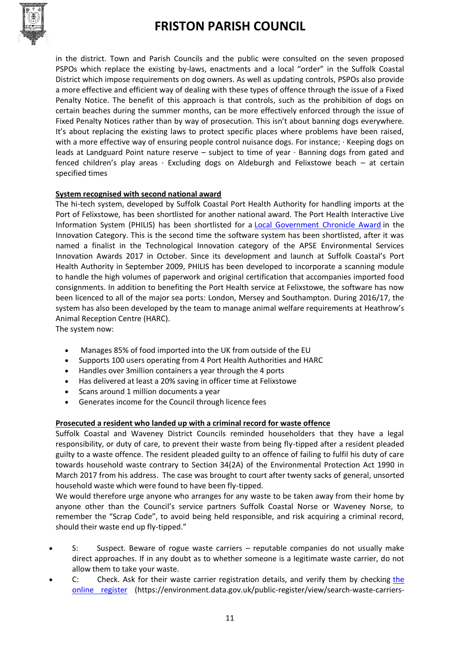

in the district. Town and Parish Councils and the public were consulted on the seven proposed PSPOs which replace the existing by-laws, enactments and a local "order" in the Suffolk Coastal District which impose requirements on dog owners. As well as updating controls, PSPOs also provide a more effective and efficient way of dealing with these types of offence through the issue of a Fixed Penalty Notice. The benefit of this approach is that controls, such as the prohibition of dogs on certain beaches during the summer months, can be more effectively enforced through the issue of Fixed Penalty Notices rather than by way of prosecution. This isn't about banning dogs everywhere. It's about replacing the existing laws to protect specific places where problems have been raised, with a more effective way of ensuring people control nuisance dogs. For instance; · Keeping dogs on leads at Landguard Point nature reserve – subject to time of year · Banning dogs from gated and fenced children's play areas  $\cdot$  Excluding dogs on Aldeburgh and Felixstowe beach – at certain specified times

#### **System recognised with second national award**

The hi-tech system, developed by Suffolk Coastal Port Health Authority for handling imports at the Port of Felixstowe, has been shortlisted for another national award. The Port Health Interactive Live Information System (PHILIS) has been shortlisted for a [Local Government Chronicle Award](https://awards.lgcplus.com/) in the Innovation Category. This is the second time the software system has been shortlisted, after it was named a finalist in the Technological Innovation category of the APSE Environmental Services Innovation Awards 2017 in October. Since its development and launch at Suffolk Coastal's Port Health Authority in September 2009, PHILIS has been developed to incorporate a scanning module to handle the high volumes of paperwork and original certification that accompanies imported food consignments. In addition to benefiting the Port Health service at Felixstowe, the software has now been licenced to all of the major sea ports: London, Mersey and Southampton. During 2016/17, the system has also been developed by the team to manage animal welfare requirements at Heathrow's Animal Reception Centre (HARC).

The system now:

- Manages 85% of food imported into the UK from outside of the EU
- Supports 100 users operating from 4 Port Health Authorities and HARC
- Handles over 3million containers a year through the 4 ports
- Has delivered at least a 20% saving in officer time at Felixstowe
- Scans around 1 million documents a year
- Generates income for the Council through licence fees

#### **Prosecuted a resident who landed up with a criminal record for waste offence**

Suffolk Coastal and Waveney District Councils reminded householders that they have a legal responsibility, or duty of care, to prevent their waste from being fly-tipped after a resident pleaded guilty to a waste offence. The resident pleaded guilty to an offence of failing to fulfil his duty of care towards household waste contrary to Section 34(2A) of the Environmental Protection Act 1990 in March 2017 from his address. The case was brought to court after twenty sacks of general, unsorted household waste which were found to have been fly-tipped.

We would therefore urge anyone who arranges for any waste to be taken away from their home by anyone other than the Council's service partners Suffolk Coastal Norse or Waveney Norse, to remember the "Scrap Code", to avoid being held responsible, and risk acquiring a criminal record, should their waste end up fly-tipped."

- S: Suspect. Beware of rogue waste carriers reputable companies do not usually make direct approaches. If in any doubt as to whether someone is a legitimate waste carrier, do not allow them to take your waste.
- C: Check. Ask for their waste carrier registration details, and verify them by checking the [online register](https://environment.data.gov.uk/public-register/view/search-waste-carriers-brokers) (https://environment.data.gov.uk/public-register/view/search-waste-carriers-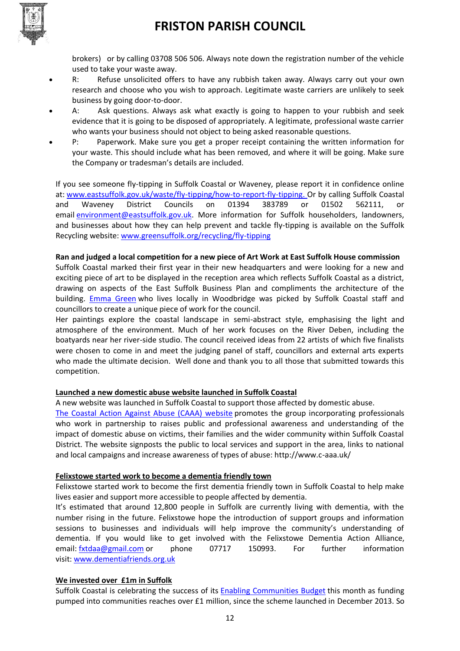

brokers) or by calling 03708 506 506. Always note down the registration number of the vehicle used to take your waste away.

- R: Refuse unsolicited offers to have any rubbish taken away. Always carry out your own research and choose who you wish to approach. Legitimate waste carriers are unlikely to seek business by going door-to-door.
- A: Ask questions. Always ask what exactly is going to happen to your rubbish and seek evidence that it is going to be disposed of appropriately. A legitimate, professional waste carrier who wants your business should not object to being asked reasonable questions.
- P: Paperwork. Make sure you get a proper receipt containing the written information for your waste. This should include what has been removed, and where it will be going. Make sure the Company or tradesman's details are included.

If you see someone fly-tipping in Suffolk Coastal or Waveney, please report it in confidence online at: [www.eastsuffolk.gov.uk/waste/fly-tipping/how-to-report-fly-tipping.](http://www.eastsuffolk.gov.uk/waste/fly-tipping/how-to-report-fly-tipping) Or by calling Suffolk Coastal and Waveney District Councils on 01394 383789 or 01502 562111, or email [environment@eastsuffolk.gov.uk.](mailto:scs@ncsgrp.co.uk) More information for Suffolk householders, landowners, and businesses about how they can help prevent and tackle fly-tipping is available on the Suffolk Recycling website: [www.greensuffolk.org/recycling/fly-tipping](http://www.greensuffolk.org/recycling/fly-tipping)

#### **Ran and judged a local competition for a new piece of Art Work at East Suffolk House commission**

Suffolk Coastal marked their first year in their new headquarters and were looking for a new and exciting piece of art to be displayed in the reception area which reflects Suffolk Coastal as a district, drawing on aspects of the East Suffolk Business Plan and compliments the architecture of the building. [Emma Green](http://www.emmagreen.co.uk/) who lives locally in Woodbridge was picked by Suffolk Coastal staff and councillors to create a unique piece of work for the council.

Her paintings explore the coastal landscape in semi-abstract style, emphasising the light and atmosphere of the environment. Much of her work focuses on the River Deben, including the boatyards near her river-side studio. The council received ideas from 22 artists of which five finalists were chosen to come in and meet the judging panel of staff, councillors and external arts experts who made the ultimate decision. Well done and thank you to all those that submitted towards this competition.

#### **Launched a new domestic abuse website launched in Suffolk Coastal**

A new website was launched in Suffolk Coastal to support those affected by domestic abuse.

[The Coastal Action Against Abuse \(CAAA\) website](http://www.c-aaa.uk/) promotes the group incorporating professionals who work in partnership to raises public and professional awareness and understanding of the impact of domestic abuse on victims, their families and the wider community within Suffolk Coastal District. The website signposts the public to local services and support in the area, links to national and local campaigns and increase awareness of types of abuse: http://www.c-aaa.uk/

#### **Felixstowe started work to become a dementia friendly town**

Felixstowe started work to become the first dementia friendly town in Suffolk Coastal to help make lives easier and support more accessible to people affected by dementia.

It's estimated that around 12,800 people in Suffolk are currently living with dementia, with the number rising in the future. Felixstowe hope the introduction of support groups and information sessions to businesses and individuals will help improve the community's understanding of dementia. If you would like to get involved with the Felixstowe Dementia Action Alliance, email: [fxtdaa@gmail.com](mailto:fxtdaa@gmail.com) or phone 07717 150993. For further information visit: [www.dementiafriends.org.uk](http://www.dementiafriends.org.uk/)

#### **We invested over £1m in Suffolk**

Suffolk Coastal is celebrating the success of its **[Enabling Communities Budget](http://www.eastsuffolk.gov.uk/community/enabling-communities/)** this month as funding pumped into communities reaches over £1 million, since the scheme launched in December 2013. So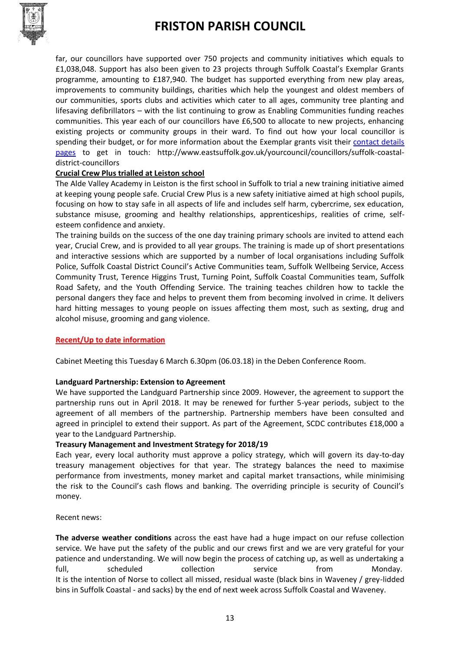

far, our councillors have supported over 750 projects and community initiatives which equals to £1,038,048. Support has also been given to 23 projects through Suffolk Coastal's Exemplar Grants programme, amounting to £187,940. The budget has supported everything from new play areas, improvements to community buildings, charities which help the youngest and oldest members of our communities, sports clubs and activities which cater to all ages, community tree planting and lifesaving defibrillators – with the list continuing to grow as Enabling Communities funding reaches communities. This year each of our councillors have £6,500 to allocate to new projects, enhancing existing projects or community groups in their ward. To find out how your local councillor is spending their budget, or for more information about the Exemplar grants visit their [contact details](http://www.eastsuffolk.gov.uk/yourcouncil/councillors/suffolk-coastal-district-councillors)  [pages](http://www.eastsuffolk.gov.uk/yourcouncil/councillors/suffolk-coastal-district-councillors) to get in touch: http://www.eastsuffolk.gov.uk/yourcouncil/councillors/suffolk-coastaldistrict-councillors

#### **Crucial Crew Plus trialled at Leiston school**

The Alde Valley Academy in Leiston is the first school in Suffolk to trial a new training initiative aimed at keeping young people safe. Crucial Crew Plus is a new safety initiative aimed at high school pupils, focusing on how to stay safe in all aspects of life and includes self harm, cybercrime, sex education, substance misuse, grooming and healthy relationships, apprenticeships, realities of crime, selfesteem confidence and anxiety.

The training builds on the success of the one day training primary schools are invited to attend each year, Crucial Crew, and is provided to all year groups. The training is made up of short presentations and interactive sessions which are supported by a number of local organisations including Suffolk Police, Suffolk Coastal District Council's Active Communities team, Suffolk Wellbeing Service, Access Community Trust, Terence Higgins Trust, Turning Point, Suffolk Coastal Communities team, Suffolk Road Safety, and the Youth Offending Service. The training teaches children how to tackle the personal dangers they face and helps to prevent them from becoming involved in crime. It delivers hard hitting messages to young people on issues affecting them most, such as sexting, drug and alcohol misuse, grooming and gang violence.

#### **Recent/Up to date information**

Cabinet Meeting this Tuesday 6 March 6.30pm (06.03.18) in the Deben Conference Room.

#### **Landguard Partnership: Extension to Agreement**

We have supported the Landguard Partnership since 2009. However, the agreement to support the partnership runs out in April 2018. It may be renewed for further 5-year periods, subject to the agreement of all members of the partnership. Partnership members have been consulted and agreed in principlel to extend their support. As part of the Agreement, SCDC contributes £18,000 a year to the Landguard Partnership.

#### **Treasury Management and Investment Strategy for 2018/19**

Each year, every local authority must approve a policy strategy, which will govern its day-to-day treasury management objectives for that year. The strategy balances the need to maximise performance from investments, money market and capital market transactions, while minimising the risk to the Council's cash flows and banking. The overriding principle is security of Council's money.

Recent news:

**The adverse weather conditions** across the east have had a huge impact on our refuse collection service. We have put the safety of the public and our crews first and we are very grateful for your patience and understanding. We will now begin the process of catching up, as well as undertaking a full, and scheduled collection correction service from Monday. It is the intention of Norse to collect all missed, residual waste (black bins in Waveney / grey-lidded bins in Suffolk Coastal - and sacks) by the end of next week across Suffolk Coastal and Waveney.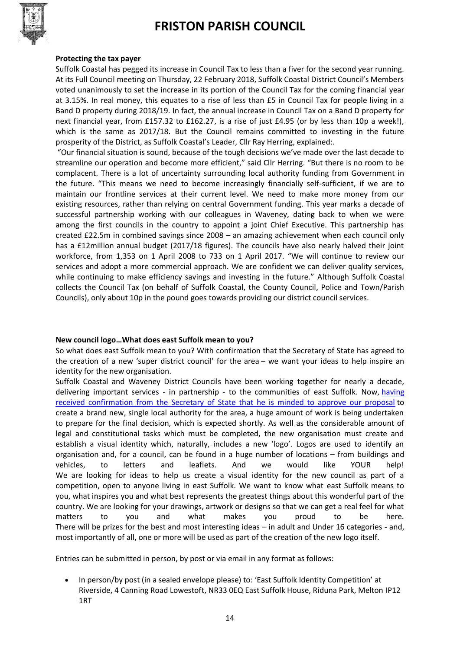

#### **Protecting the tax payer**

Suffolk Coastal has pegged its increase in Council Tax to less than a fiver for the second year running. At its Full Council meeting on Thursday, 22 February 2018, Suffolk Coastal District Council's Members voted unanimously to set the increase in its portion of the Council Tax for the coming financial year at 3.15%. In real money, this equates to a rise of less than £5 in Council Tax for people living in a Band D property during 2018/19. In fact, the annual increase in Council Tax on a Band D property for next financial year, from £157.32 to £162.27, is a rise of just £4.95 (or by less than 10p a week!), which is the same as 2017/18. But the Council remains committed to investing in the future prosperity of the District, as Suffolk Coastal's Leader, Cllr Ray Herring, explained:.

"Our financial situation is sound, because of the tough decisions we've made over the last decade to streamline our operation and become more efficient," said Cllr Herring. "But there is no room to be complacent. There is a lot of uncertainty surrounding local authority funding from Government in the future. "This means we need to become increasingly financially self-sufficient, if we are to maintain our frontline services at their current level. We need to make more money from our existing resources, rather than relying on central Government funding. This year marks a decade of successful partnership working with our colleagues in Waveney, dating back to when we were among the first councils in the country to appoint a joint Chief Executive. This partnership has created £22.5m in combined savings since 2008 – an amazing achievement when each council only has a £12million annual budget (2017/18 figures). The councils have also nearly halved their joint workforce, from 1,353 on 1 April 2008 to 733 on 1 April 2017. "We will continue to review our services and adopt a more commercial approach. We are confident we can deliver quality services, while continuing to make efficiency savings and investing in the future." Although Suffolk Coastal collects the Council Tax (on behalf of Suffolk Coastal, the County Council, Police and Town/Parish Councils), only about 10p in the pound goes towards providing our district council services.

#### **New council logo…What does east Suffolk mean to you?**

So what does east Suffolk mean to you? With confirmation that the Secretary of State has agreed to the creation of a new 'super district council' for the area – we want your ideas to help inspire an identity for the new organisation.

Suffolk Coastal and Waveney District Councils have been working together for nearly a decade, delivering important services - in partnership - to the communities of east Suffolk. Now, having [received confirmation from the Secretary of State that he is minded to approve our proposal](http://www.eastsuffolk.gov.uk/news/east-suffolk-gets-the-go-ahead/) to create a brand new, single local authority for the area, a huge amount of work is being undertaken to prepare for the final decision, which is expected shortly. As well as the considerable amount of legal and constitutional tasks which must be completed, the new organisation must create and establish a visual identity which, naturally, includes a new 'logo'. Logos are used to identify an organisation and, for a council, can be found in a huge number of locations – from buildings and vehicles, to letters and leaflets. And we would like YOUR help! We are looking for ideas to help us create a visual identity for the new council as part of a competition, open to anyone living in east Suffolk. We want to know what east Suffolk means to you, what inspires you and what best represents the greatest things about this wonderful part of the country. We are looking for your drawings, artwork or designs so that we can get a real feel for what matters to you and what makes you proud to be here. There will be prizes for the best and most interesting ideas – in adult and Under 16 categories - and, most importantly of all, one or more will be used as part of the creation of the new logo itself.

Entries can be submitted in person, by post or via email in any format as follows:

 In person/by post (in a sealed envelope please) to: 'East Suffolk Identity Competition' at Riverside, 4 Canning Road Lowestoft, NR33 0EQ East Suffolk House, Riduna Park, Melton IP12 1RT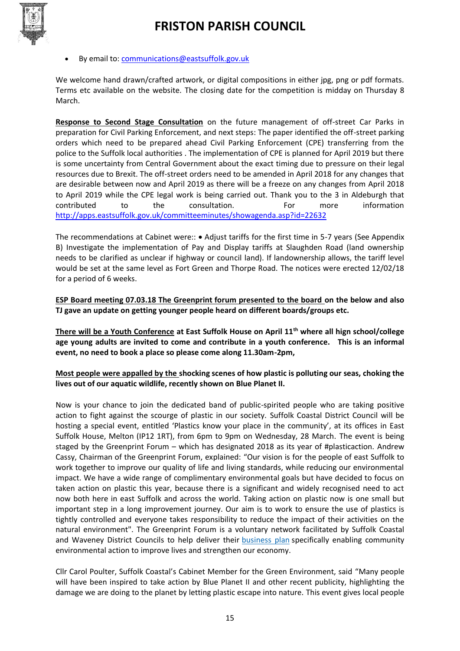

#### By email to: [communications@eastsuffolk.gov.uk](mailto:communications@eastsuffolk.gov.uk)

We welcome hand drawn/crafted artwork, or digital compositions in either jpg, png or pdf formats. Terms etc available on the website. The closing date for the competition is midday on Thursday 8 March.

**Response to Second Stage Consultation** on the future management of off-street Car Parks in preparation for Civil Parking Enforcement, and next steps: The paper identified the off-street parking orders which need to be prepared ahead Civil Parking Enforcement (CPE) transferring from the police to the Suffolk local authorities . The implementation of CPE is planned for April 2019 but there is some uncertainty from Central Government about the exact timing due to pressure on their legal resources due to Brexit. The off-street orders need to be amended in April 2018 for any changes that are desirable between now and April 2019 as there will be a freeze on any changes from April 2018 to April 2019 while the CPE legal work is being carried out. Thank you to the 3 in Aldeburgh that contributed to the consultation. For more information <http://apps.eastsuffolk.gov.uk/committeeminutes/showagenda.asp?id=22632>

The recommendations at Cabinet were::  $\bullet$  Adjust tariffs for the first time in 5-7 years (See Appendix B) Investigate the implementation of Pay and Display tariffs at Slaughden Road (land ownership needs to be clarified as unclear if highway or council land). If landownership allows, the tariff level would be set at the same level as Fort Green and Thorpe Road. The notices were erected 12/02/18 for a period of 6 weeks.

**ESP Board meeting 07.03.18 The Greenprint forum presented to the board on the below and also TJ gave an update on getting younger people heard on different boards/groups etc.** 

**There will be a Youth Conference at East Suffolk House on April 11th where all hign school/college age young adults are invited to come and contribute in a youth conference. This is an informal event, no need to book a place so please come along 11.30am-2pm,** 

**Most people were appalled by the shocking scenes of how plastic is polluting our seas, choking the lives out of our aquatic wildlife, recently shown on Blue Planet II.**

Now is your chance to join the dedicated band of public-spirited people who are taking positive action to fight against the scourge of plastic in our society. Suffolk Coastal District Council will be hosting a special event, entitled 'Plastics know your place in the community', at its offices in East Suffolk House, Melton (IP12 1RT), from 6pm to 9pm on Wednesday, 28 March. The event is being staged by the Greenprint Forum – which has designated 2018 as its year of #plasticaction. Andrew Cassy, Chairman of the Greenprint Forum, explained: "Our vision is for the people of east Suffolk to work together to improve our quality of life and living standards, while reducing our environmental impact. We have a wide range of complimentary environmental goals but have decided to focus on taken action on plastic this year, because there is a significant and widely recognised need to act now both here in east Suffolk and across the world. Taking action on plastic now is one small but important step in a long improvement journey. Our aim is to work to ensure the use of plastics is tightly controlled and everyone takes responsibility to reduce the impact of their activities on the natural environment". The Greenprint Forum is a voluntary network facilitated by Suffolk Coastal and Waveney District Councils to help deliver their [business plan](http://www.eastsuffolk.gov.uk/assets/Your-Council/Business-Plan/East-Suffolk-Business-Plan.PDF) specifically enabling community environmental action to improve lives and strengthen our economy.

Cllr Carol Poulter, Suffolk Coastal's Cabinet Member for the Green Environment, said "Many people will have been inspired to take action by Blue Planet II and other recent publicity, highlighting the damage we are doing to the planet by letting plastic escape into nature. This event gives local people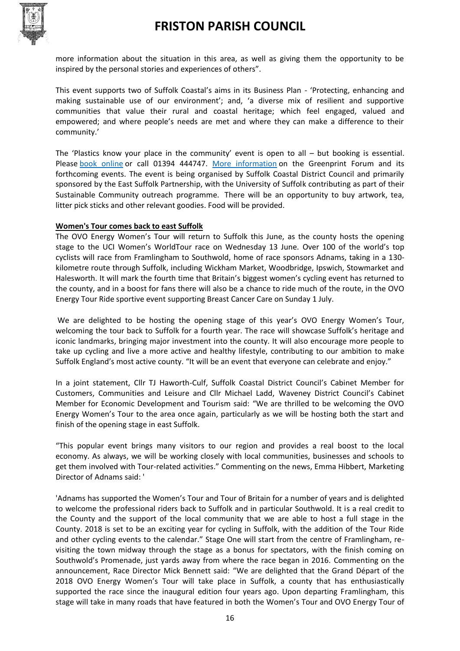

more information about the situation in this area, as well as giving them the opportunity to be inspired by the personal stories and experiences of others".

This event supports two of Suffolk Coastal's aims in its Business Plan - 'Protecting, enhancing and making sustainable use of our environment'; and, 'a diverse mix of resilient and supportive communities that value their rural and coastal heritage; which feel engaged, valued and empowered; and where people's needs are met and where they can make a difference to their community.'

The 'Plastics know your place in the community' event is open to all – but booking is essential. Please [book online](http://www.eventbrite.com/e/plastics-know-your-place-in-the-community-tickets-42455913781) or call 01394 444747. [More information](http://www.eastsuffolk.gov.uk/environment/east-suffolk-greenprint-forum/events/forthcoming-events/) on the Greenprint Forum and its forthcoming events. The event is being organised by Suffolk Coastal District Council and primarily sponsored by the East Suffolk Partnership, with the University of Suffolk contributing as part of their Sustainable Community outreach programme. There will be an opportunity to buy artwork, tea, litter pick sticks and other relevant goodies. Food will be provided.

#### **Women's Tour comes back to east Suffolk**

The OVO Energy Women's Tour will return to Suffolk this June, as the county hosts the opening stage to the UCI Women's WorldTour race on Wednesday 13 June. Over 100 of the world's top cyclists will race from Framlingham to Southwold, home of race sponsors Adnams, taking in a 130 kilometre route through Suffolk, including Wickham Market, Woodbridge, Ipswich, Stowmarket and Halesworth. It will mark the fourth time that Britain's biggest women's cycling event has returned to the county, and in a boost for fans there will also be a chance to ride much of the route, in the OVO Energy Tour Ride sportive event supporting Breast Cancer Care on Sunday 1 July.

We are delighted to be hosting the opening stage of this year's OVO Energy Women's Tour, welcoming the tour back to Suffolk for a fourth year. The race will showcase Suffolk's heritage and iconic landmarks, bringing major investment into the county. It will also encourage more people to take up cycling and live a more active and healthy lifestyle, contributing to our ambition to make Suffolk England's most active county. "It will be an event that everyone can celebrate and enjoy."

In a joint statement, Cllr TJ Haworth-Culf, Suffolk Coastal District Council's Cabinet Member for Customers, Communities and Leisure and Cllr Michael Ladd, Waveney District Council's Cabinet Member for Economic Development and Tourism said: "We are thrilled to be welcoming the OVO Energy Women's Tour to the area once again, particularly as we will be hosting both the start and finish of the opening stage in east Suffolk.

"This popular event brings many visitors to our region and provides a real boost to the local economy. As always, we will be working closely with local communities, businesses and schools to get them involved with Tour-related activities." Commenting on the news, Emma Hibbert, Marketing Director of Adnams said: '

'Adnams has supported the Women's Tour and Tour of Britain for a number of years and is delighted to welcome the professional riders back to Suffolk and in particular Southwold. It is a real credit to the County and the support of the local community that we are able to host a full stage in the County. 2018 is set to be an exciting year for cycling in Suffolk, with the addition of the Tour Ride and other cycling events to the calendar." Stage One will start from the centre of Framlingham, revisiting the town midway through the stage as a bonus for spectators, with the finish coming on Southwold's Promenade, just yards away from where the race began in 2016. Commenting on the announcement, Race Director Mick Bennett said: "We are delighted that the Grand Départ of the 2018 OVO Energy Women's Tour will take place in Suffolk, a county that has enthusiastically supported the race since the inaugural edition four years ago. Upon departing Framlingham, this stage will take in many roads that have featured in both the Women's Tour and OVO Energy Tour of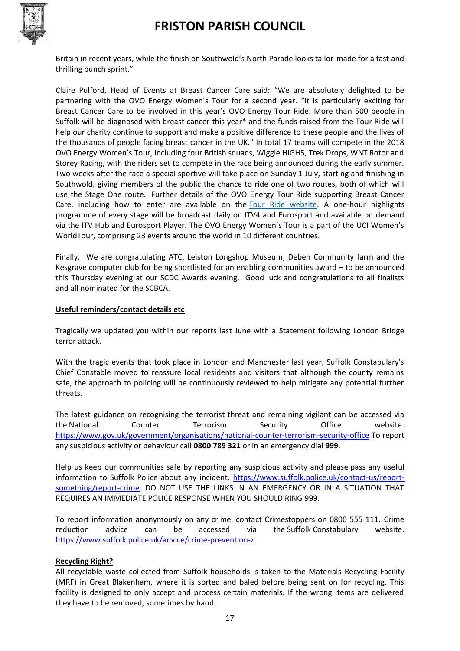

Britain in recent years, while the finish on Southwold's North Parade looks tailor-made for a fast and thrilling bunch sprint."

Claire Pulford, Head of Events at Breast Cancer Care said: "We are absolutely delighted to be partnering with the OVO Energy Women's Tour for a second year. "It is particularly exciting for Breast Cancer Care to be involved in this year's OVO Energy Tour Ride. More than 500 people in Suffolk will be diagnosed with breast cancer this year\* and the funds raised from the Tour Ride will help our charity continue to support and make a positive difference to these people and the lives of the thousands of people facing breast cancer in the UK." In total 17 teams will compete in the 2018 OVO Energy Women's Tour, including four British squads, Wiggle HIGH5, Trek Drops, WNT Rotor and Storey Racing, with the riders set to compete in the race being announced during the early summer. Two weeks after the race a special sportive will take place on Sunday 1 July, starting and finishing in Southwold, giving members of the public the chance to ride one of two routes, both of which will use the Stage One route. Further details of the OVO Energy Tour Ride supporting Breast Cancer Care, including how to enter are available on the [Tour Ride website.](http://www.tourride.co.uk/) A one-hour highlights programme of every stage will be broadcast daily on ITV4 and Eurosport and available on demand via the ITV Hub and Eurosport Player. The OVO Energy Women's Tour is a part of the UCI Women's WorldTour, comprising 23 events around the world in 10 different countries.

Finally. We are congratulating ATC, Leiston Longshop Museum, Deben Community farm and the Kesgrave computer club for being shortlisted for an enabling communities award – to be announced this Thursday evening at our SCDC Awards evening. Good luck and congratulations to all finalists and all nominated for the SCBCA.

#### **Useful reminders/contact details etc**

Tragically we updated you within our reports last June with a Statement following London Bridge terror attack.

With the tragic events that took place in London and Manchester last year, Suffolk Constabulary's Chief Constable moved to reassure local residents and visitors that although the county remains safe, the approach to policing will be continuously reviewed to help mitigate any potential further threats.

The latest guidance on recognising the terrorist threat and remaining vigilant can be accessed via the [National Counter Terrorism Security Office website.](http://www.nactso.gov.uk/) <https://www.gov.uk/government/organisations/national-counter-terrorism-security-office> To report any suspicious activity or behaviour call **0800 789 321** or in an emergency dial **999**.

Help us keep our communities safe by reporting any suspicious activity and please [pass any useful](https://www.suffolk.police.uk/contact-us/report-something/report-crime)  [information to Suffolk Police about any incident. https://www.suffolk.police.uk/contact-us/report](https://www.suffolk.police.uk/contact-us/report-something/report-crime)[something/report-crime.](https://www.suffolk.police.uk/contact-us/report-something/report-crime) DO NOT USE THE LINKS IN AN EMERGENCY OR IN A SITUATION THAT REQUIRES AN IMMEDIATE POLICE RESPONSE WHEN YOU SHOULD RING 999.

To report information anonymously on any crime, contact Crimestoppers on 0800 555 111. Crime reduction advice can be accessed via the Suffolk [Constabulary website.](http://www.suffolk.police.uk/advice/crime-prevention-z) <https://www.suffolk.police.uk/advice/crime-prevention-z>

#### **Recycling Right?**

All recyclable waste collected from Suffolk households is taken to the Materials Recycling Facility (MRF) in Great Blakenham, where it is sorted and baled before being sent on for recycling. This facility is designed to only accept and process certain materials. If the wrong items are delivered they have to be removed, sometimes by hand.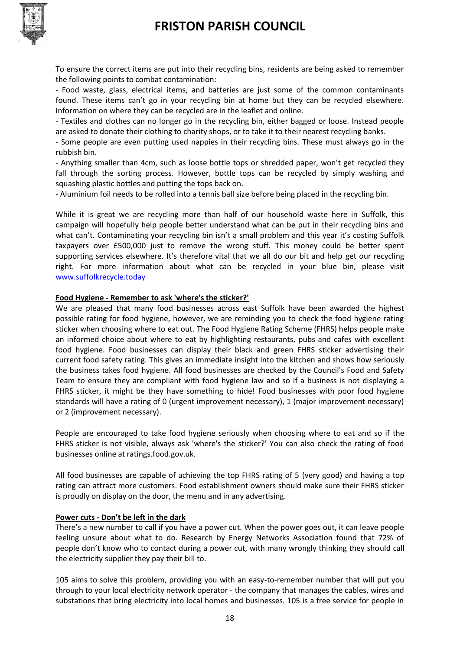

To ensure the correct items are put into their recycling bins, residents are being asked to remember the following points to combat contamination:

- Food waste, glass, electrical items, and batteries are just some of the common contaminants found. These items can't go in your recycling bin at home but they can be recycled elsewhere. Information on where they can be recycled are in the leaflet and online.

- Textiles and clothes can no longer go in the recycling bin, either bagged or loose. Instead people are asked to donate their clothing to charity shops, or to take it to their nearest recycling banks.

- Some people are even putting used nappies in their recycling bins. These must always go in the rubbish bin.

- Anything smaller than 4cm, such as loose bottle tops or shredded paper, won't get recycled they fall through the sorting process. However, bottle tops can be recycled by simply washing and squashing plastic bottles and putting the tops back on.

- Aluminium foil needs to be rolled into a tennis ball size before being placed in the recycling bin.

While it is great we are recycling more than half of our household waste here in Suffolk, this campaign will hopefully help people better understand what can be put in their recycling bins and what can't. Contaminating your recycling bin isn't a small problem and this year it's costing Suffolk taxpayers over £500,000 just to remove the wrong stuff. This money could be better spent supporting services elsewhere. It's therefore vital that we all do our bit and help get our recycling right. For more information about what can be recycled in your blue bin, please visit [www.suffolkrecycle.today](http://www.suffolkrecycle.today/)

#### **Food Hygiene - Remember to ask 'where's the sticker?'**

We are pleased that many food businesses across east Suffolk have been awarded the highest possible rating for food hygiene, however, we are reminding you to check the food hygiene rating sticker when choosing where to eat out. The Food Hygiene Rating Scheme (FHRS) helps people make an informed choice about where to eat by highlighting restaurants, pubs and cafes with excellent food hygiene. Food businesses can display their black and green FHRS sticker advertising their current food safety rating. This gives an immediate insight into the kitchen and shows how seriously the business takes food hygiene. All food businesses are checked by the Council's Food and Safety Team to ensure they are compliant with food hygiene law and so if a business is not displaying a FHRS sticker, it might be they have something to hide! Food businesses with poor food hygiene standards will have a rating of 0 (urgent improvement necessary), 1 (major improvement necessary) or 2 (improvement necessary).

People are encouraged to take food hygiene seriously when choosing where to eat and so if the FHRS sticker is not visible, always ask 'where's the sticker?' You can also check the rating of food businesses online at ratings.food.gov.uk.

All food businesses are capable of achieving the top FHRS rating of 5 (very good) and having a top rating can attract more customers. Food establishment owners should make sure their FHRS sticker is proudly on display on the door, the menu and in any advertising.

#### **Power cuts - Don't be left in the dark**

There's a new number to call if you have a power cut. When the power goes out, it can leave people feeling unsure about what to do. Research by Energy Networks Association found that 72% of people don't know who to contact during a power cut, with many wrongly thinking they should call the electricity supplier they pay their bill to.

105 aims to solve this problem, providing you with an easy-to-remember number that will put you through to your local electricity network operator - the company that manages the cables, wires and substations that bring electricity into local homes and businesses. 105 is a free service for people in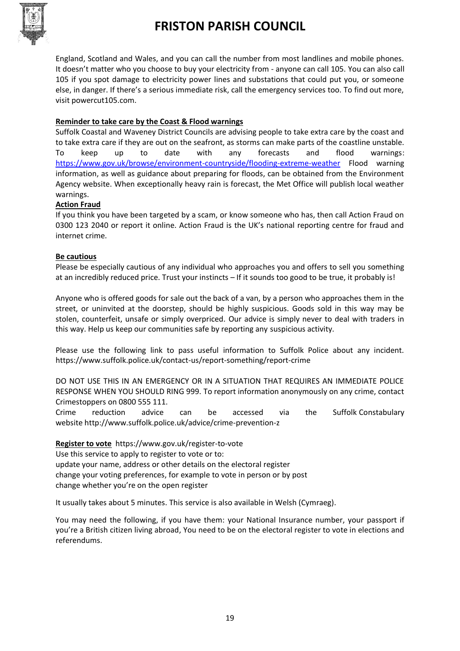

England, Scotland and Wales, and you can call the number from most landlines and mobile phones. It doesn't matter who you choose to buy your electricity from - anyone can call 105. You can also call 105 if you spot damage to electricity power lines and substations that could put you, or someone else, in danger. If there's a serious immediate risk, call the emergency services too. To find out more, visit powercut105.com.

#### **Reminder to take care by the Coast & Flood warnings**

Suffolk Coastal and Waveney District Councils are advising people to take extra care by the coast and to take extra care if they are out on the seafront, as storms can make parts of the coastline unstable. To keep up to date with any forecasts and flood warnings: <https://www.gov.uk/browse/environment-countryside/flooding-extreme-weather> Flood warning information, as well as guidance about preparing for floods, can be obtained from the Environment Agency website. When exceptionally heavy rain is forecast, the Met Office will publish local weather warnings.

#### **Action Fraud**

If you think you have been targeted by a scam, or know someone who has, then call Action Fraud on 0300 123 2040 or report it online. Action Fraud is the UK's national reporting centre for fraud and internet crime.

#### **Be cautious**

Please be especially cautious of any individual who approaches you and offers to sell you something at an incredibly reduced price. Trust your instincts – If it sounds too good to be true, it probably is!

Anyone who is offered goods for sale out the back of a van, by a person who approaches them in the street, or uninvited at the doorstep, should be highly suspicious. Goods sold in this way may be stolen, counterfeit, unsafe or simply overpriced. Our advice is simply never to deal with traders in this way. Help us keep our communities safe by reporting any suspicious activity.

Please use the following link to pass useful information to Suffolk Police about any incident. <https://www.suffolk.police.uk/contact-us/report-something/report-crime>

DO NOT USE THIS IN AN EMERGENCY OR IN A SITUATION THAT REQUIRES AN IMMEDIATE POLICE RESPONSE WHEN YOU SHOULD RING 999. To report information anonymously on any crime, contact Crimestoppers on 0800 555 111.

Crime reduction advice can be accessed via the Suffolk Constabulary website <http://www.suffolk.police.uk/advice/crime-prevention-z>

**Register to vote** https://www.gov.uk/register-to-vote

Use this service to apply to register to vote or to: update your name, address or other details on the electoral register change your voting preferences, for example to vote in person or by post change whether you're on the [open register](https://www.gov.uk/electoral-register)

It usually takes about 5 minutes. This service is also available [in Welsh \(Cymraeg\).](https://www.gov.uk/cofrestru-i-bleidleisio)

You may need the following, if you have them: your National Insurance number, your passport if you're a British citizen living abroad, You need to be on the electoral register to vote in elections and referendums.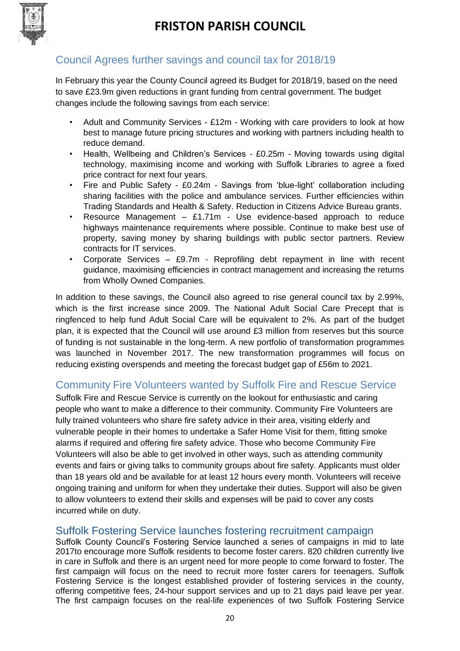

### Council Agrees further savings and council tax for 2018/19

In February this year the County Council agreed its Budget for 2018/19, based on the need to save £23.9m given reductions in grant funding from central government. The budget changes include the following savings from each service:

- Adult and Community Services £12m Working with care providers to look at how best to manage future pricing structures and working with partners including health to reduce demand.
- Health, Wellbeing and Children's Services £0.25m Moving towards using digital technology, maximising income and working with Suffolk Libraries to agree a fixed price contract for next four years.
- Fire and Public Safety £0.24m Savings from 'blue-light' collaboration including sharing facilities with the police and ambulance services. Further efficiencies within Trading Standards and Health & Safety. Reduction in Citizens Advice Bureau grants.
- Resource Management  $-$  £1.71m Use evidence-based approach to reduce highways maintenance requirements where possible. Continue to make best use of property, saving money by sharing buildings with public sector partners. Review contracts for IT services.
- Corporate Services £9.7m Reprofiling debt repayment in line with recent guidance, maximising efficiencies in contract management and increasing the returns from Wholly Owned Companies.

In addition to these savings, the Council also agreed to rise general council tax by 2.99%, which is the first increase since 2009. The National Adult Social Care Precept that is ringfenced to help fund Adult Social Care will be equivalent to 2%. As part of the budget plan, it is expected that the Council will use around £3 million from reserves but this source of funding is not sustainable in the long-term. A new portfolio of transformation programmes was launched in November 2017. The new transformation programmes will focus on reducing existing overspends and meeting the forecast budget gap of £56m to 2021.

### Community Fire Volunteers wanted by Suffolk Fire and Rescue Service

Suffolk Fire and Rescue Service is currently on the lookout for enthusiastic and caring people who want to make a difference to their community. Community Fire Volunteers are fully trained volunteers who share fire safety advice in their area, visiting elderly and vulnerable people in their homes to undertake a Safer Home Visit for them, fitting smoke alarms if required and offering fire safety advice. Those who become Community Fire Volunteers will also be able to get involved in other ways, such as attending community events and fairs or giving talks to community groups about fire safety. Applicants must older than 18 years old and be available for at least 12 hours every month. Volunteers will receive ongoing training and uniform for when they undertake their duties. Support will also be given to allow volunteers to extend their skills and expenses will be paid to cover any costs incurred while on duty.

### Suffolk Fostering Service launches fostering recruitment campaign

Suffolk County Council's Fostering Service launched a series of campaigns in mid to late 2017to encourage more Suffolk residents to become foster carers. 820 children currently live in care in Suffolk and there is an urgent need for more people to come forward to foster. The first campaign will focus on the need to recruit more foster carers for teenagers. Suffolk Fostering Service is the longest established provider of fostering services in the county, offering competitive fees, 24-hour support services and up to 21 days paid leave per year. The first campaign focuses on the real-life experiences of two Suffolk Fostering Service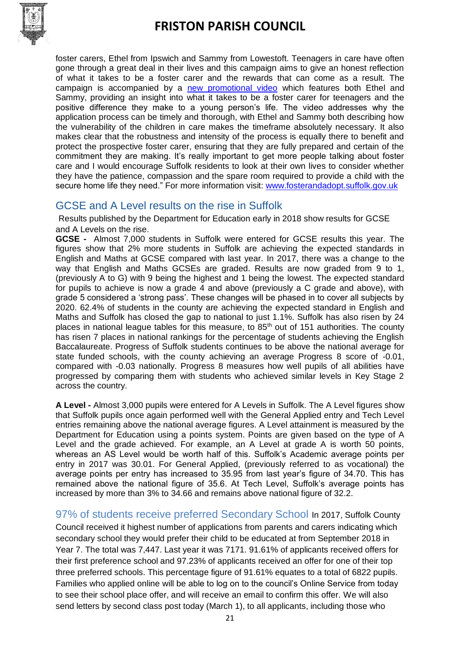

foster carers, Ethel from Ipswich and Sammy from Lowestoft. Teenagers in care have often gone through a great deal in their lives and this campaign aims to give an honest reflection of what it takes to be a foster carer and the rewards that can come as a result. The campaign is accompanied by a [new promotional video](https://www.youtube.com/watch?v=GgOOx2rSseI&list=UUCU85--u-eTpf0bvY83inDw&index=4) which features both Ethel and Sammy, providing an insight into what it takes to be a foster carer for teenagers and the positive difference they make to a young person's life. The video addresses why the application process can be timely and thorough, with Ethel and Sammy both describing how the vulnerability of the children in care makes the timeframe absolutely necessary. It also makes clear that the robustness and intensity of the process is equally there to benefit and protect the prospective foster carer, ensuring that they are fully prepared and certain of the commitment they are making. It's really important to get more people talking about foster care and I would encourage Suffolk residents to look at their own lives to consider whether they have the patience, compassion and the spare room required to provide a child with the secure home life they need." For more information visit: [www.fosterandadopt.suffolk.gov.uk](http://www.fosterandadopt.suffolk.gov.uk/)

### GCSE and A Level results on the rise in Suffolk

Results published by the Department for Education early in 2018 show results for GCSE and A Levels on the rise.

**GCSE -** Almost 7,000 students in Suffolk were entered for GCSE results this year. The figures show that 2% more students in Suffolk are achieving the expected standards in English and Maths at GCSE compared with last year. In 2017, there was a change to the way that English and Maths GCSEs are graded. Results are now graded from 9 to 1, (previously A to G) with 9 being the highest and 1 being the lowest. The expected standard for pupils to achieve is now a grade 4 and above (previously a C grade and above), with grade 5 considered a 'strong pass'. These changes will be phased in to cover all subjects by 2020. 62.4% of students in the county are achieving the expected standard in English and Maths and Suffolk has closed the gap to national to just 1.1%. Suffolk has also risen by 24 places in national league tables for this measure, to  $85<sup>th</sup>$  out of 151 authorities. The county has risen 7 places in national rankings for the percentage of students achieving the English Baccalaureate. Progress of Suffolk students continues to be above the national average for state funded schools, with the county achieving an average Progress 8 score of -0.01, compared with -0.03 nationally. Progress 8 measures how well pupils of all abilities have progressed by comparing them with students who achieved similar levels in Key Stage 2 across the country.

**A Level -** Almost 3,000 pupils were entered for A Levels in Suffolk. The A Level figures show that Suffolk pupils once again performed well with the General Applied entry and Tech Level entries remaining above the national average figures. A Level attainment is measured by the Department for Education using a points system. Points are given based on the type of A Level and the grade achieved. For example, an A Level at grade A is worth 50 points, whereas an AS Level would be worth half of this. Suffolk's Academic average points per entry in 2017 was 30.01. For General Applied, (previously referred to as vocational) the average points per entry has increased to 35.95 from last year's figure of 34.70. This has remained above the national figure of 35.6. At Tech Level, Suffolk's average points has increased by more than 3% to 34.66 and remains above national figure of 32.2.

97% of students receive preferred Secondary School In 2017, Suffolk County Council received it highest number of applications from parents and carers indicating which secondary school they would prefer their child to be educated at from September 2018 in Year 7. The total was 7,447. Last year it was 7171. 91.61% of applicants received offers for their first preference school and 97.23% of applicants received an offer for one of their top three preferred schools. This percentage figure of 91.61% equates to a total of 6822 pupils. Families who applied online will be able to log on to the council's Online Service from today to see their school place offer, and will receive an email to confirm this offer. We will also send letters by second class post today (March 1), to all applicants, including those who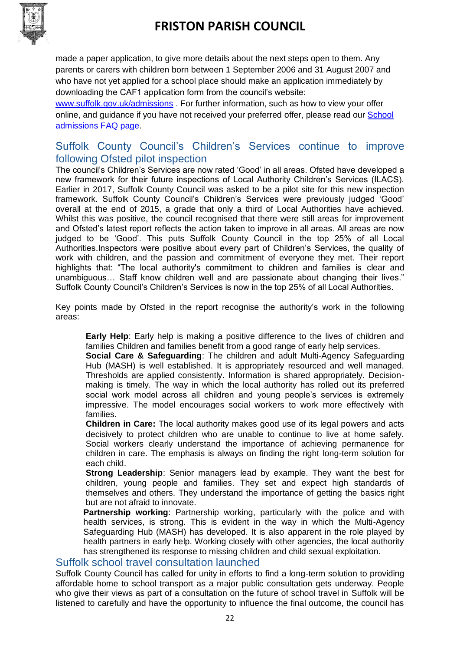

made a paper application, to give more details about the next steps open to them. Any parents or carers with children born between 1 September 2006 and 31 August 2007 and who have not yet applied for a school place should make an application immediately by downloading the CAF1 application form from the council's website:

[www.suffolk.gov.uk/admissions](http://www.suffolk.gov.uk/admissions) . For further information, such as how to view your offer online, and guidance if you have not received your preferred offer, please read our [School](https://www.suffolk.gov.uk/children-families-and-learning/schools/school-places/school-admissions-faqs/)  [admissions FAQ page.](https://www.suffolk.gov.uk/children-families-and-learning/schools/school-places/school-admissions-faqs/)

### Suffolk County Council's Children's Services continue to improve following Ofsted pilot inspection

The council's Children's Services are now rated 'Good' in all areas. Ofsted have developed a new framework for their future inspections of Local Authority Children's Services (ILACS). Earlier in 2017, Suffolk County Council was asked to be a pilot site for this new inspection framework. Suffolk County Council's Children's Services were previously judged 'Good' overall at the end of 2015, a grade that only a third of Local Authorities have achieved. Whilst this was positive, the council recognised that there were still areas for improvement and Ofsted's latest report reflects the action taken to improve in all areas. All areas are now judged to be 'Good'. This puts Suffolk County Council in the top 25% of all Local Authorities.Inspectors were positive about every part of Children's Services, the quality of work with children, and the passion and commitment of everyone they met. Their report highlights that: "The local authority's commitment to children and families is clear and unambiguous… Staff know children well and are passionate about changing their lives." Suffolk County Council's Children's Services is now in the top 25% of all Local Authorities.

Key points made by Ofsted in the report recognise the authority's work in the following areas:

**Early Help**: Early help is making a positive difference to the lives of children and families Children and families benefit from a good range of early help services.

**Social Care & Safeguarding**: The children and adult Multi-Agency Safeguarding Hub (MASH) is well established. It is appropriately resourced and well managed. Thresholds are applied consistently. Information is shared appropriately. Decisionmaking is timely. The way in which the local authority has rolled out its preferred social work model across all children and young people's services is extremely impressive. The model encourages social workers to work more effectively with families.

**Children in Care:** The local authority makes good use of its legal powers and acts decisively to protect children who are unable to continue to live at home safely. Social workers clearly understand the importance of achieving permanence for children in care. The emphasis is always on finding the right long-term solution for each child.

**Strong Leadership**: Senior managers lead by example. They want the best for children, young people and families. They set and expect high standards of themselves and others. They understand the importance of getting the basics right but are not afraid to innovate.

**Partnership working**: Partnership working, particularly with the police and with health services, is strong. This is evident in the way in which the Multi-Agency Safeguarding Hub (MASH) has developed. It is also apparent in the role played by health partners in early help. Working closely with other agencies, the local authority has strengthened its response to missing children and child sexual exploitation.

#### Suffolk school travel consultation launched

Suffolk County Council has called for unity in efforts to find a long-term solution to providing affordable home to school transport as a major public consultation gets underway. People who give their views as part of a consultation on the future of school travel in Suffolk will be listened to carefully and have the opportunity to influence the final outcome, the council has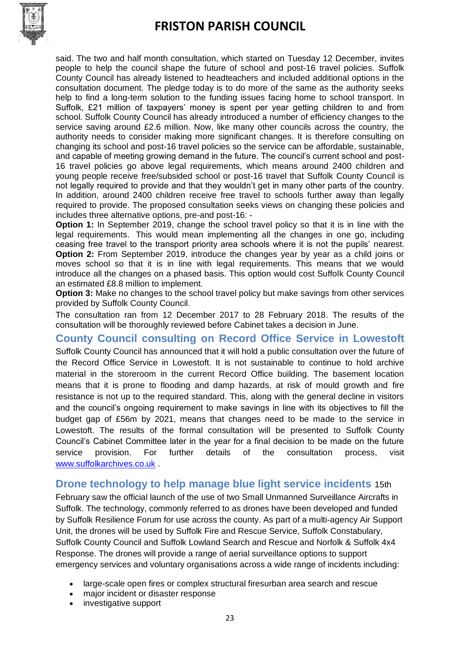

said. The two and half month consultation, which started on Tuesday 12 December, invites people to help the council shape the future of school and post-16 travel policies. Suffolk County Council has already listened to headteachers and included additional options in the consultation document. The pledge today is to do more of the same as the authority seeks help to find a long-term solution to the funding issues facing home to school transport. In Suffolk, £21 million of taxpayers' money is spent per year getting children to and from school. Suffolk County Council has already introduced a number of efficiency changes to the service saving around £2.6 million. Now, like many other councils across the country, the authority needs to consider making more significant changes. It is therefore consulting on changing its school and post-16 travel policies so the service can be affordable, sustainable, and capable of meeting growing demand in the future. The council's current school and post-16 travel policies go above legal requirements, which means around 2400 children and young people receive free/subsided school or post-16 travel that Suffolk County Council is not legally required to provide and that they wouldn't get in many other parts of the country. In addition, around 2400 children receive free travel to schools further away than legally required to provide. The proposed consultation seeks views on changing these policies and includes three alternative options, pre-and post-16: -

**Option 1:** In September 2019, change the school travel policy so that it is in line with the legal requirements. This would mean implementing all the changes in one go, including ceasing free travel to the transport priority area schools where it is not the pupils' nearest. **Option 2:** From September 2019, introduce the changes year by year as a child joins or moves school so that it is in line with legal requirements. This means that we would introduce all the changes on a phased basis. This option would cost Suffolk County Council an estimated £8.8 million to implement.

**Option 3:** Make no changes to the school travel policy but make savings from other services provided by Suffolk County Council.

The consultation ran from 12 December 2017 to 28 February 2018. The results of the consultation will be thoroughly reviewed before Cabinet takes a decision in June.

**County Council consulting on Record Office Service in Lowestoft**  Suffolk County Council has announced that it will hold a public consultation over the future of the Record Office Service in Lowestoft. It is not sustainable to continue to hold archive material in the storeroom in the current Record Office building. The basement location means that it is prone to flooding and damp hazards, at risk of mould growth and fire resistance is not up to the required standard. This, along with the general decline in visitors and the council's ongoing requirement to make savings in line with its objectives to fill the budget gap of £56m by 2021, means that changes need to be made to the service in Lowestoft. The results of the formal consultation will be presented to Suffolk County Council's Cabinet Committee later in the year for a final decision to be made on the future service provision. For further details of the consultation process, visit [www.suffolkarchives.co.uk](http://www.suffolkarchives.co.uk/) .

### **Drone technology to help manage blue light service incidents** 15th

February saw the official launch of the use of two Small Unmanned Surveillance Aircrafts in Suffolk. The technology, commonly referred to as drones have been developed and funded by Suffolk Resilience Forum for use across the county. As part of a multi-agency Air Support Unit, the drones will be used by Suffolk Fire and Rescue Service, Suffolk Constabulary, Suffolk County Council and Suffolk Lowland Search and Rescue and Norfolk & Suffolk 4x4 Response. The drones will provide a range of aerial surveillance options to support emergency services and voluntary organisations across a wide range of incidents including:

- large-scale open fires or complex structural firesurban area search and rescue
- major incident or disaster response
- investigative support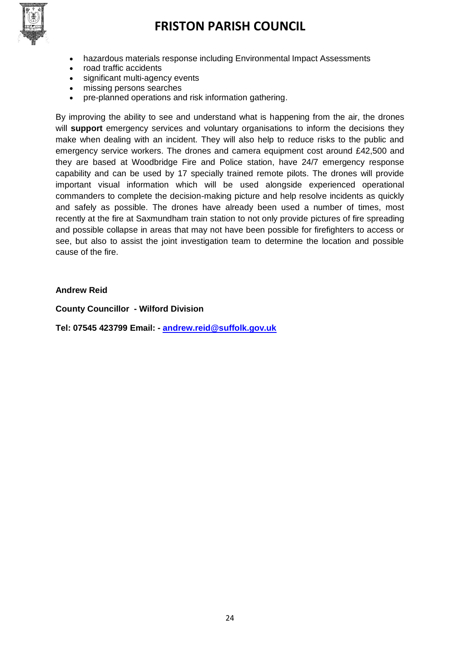

- hazardous materials response including Environmental Impact Assessments
- road traffic accidents
- significant multi-agency events
- missing persons searches
- pre-planned operations and risk information gathering.

By improving the ability to see and understand what is happening from the air, the drones will **support** emergency services and voluntary organisations to inform the decisions they make when dealing with an incident. They will also help to reduce risks to the public and emergency service workers. The drones and camera equipment cost around £42,500 and they are based at Woodbridge Fire and Police station, have 24/7 emergency response capability and can be used by 17 specially trained remote pilots. The drones will provide important visual information which will be used alongside experienced operational commanders to complete the decision-making picture and help resolve incidents as quickly and safely as possible. The drones have already been used a number of times, most recently at the fire at Saxmundham train station to not only provide pictures of fire spreading and possible collapse in areas that may not have been possible for firefighters to access or see, but also to assist the joint investigation team to determine the location and possible cause of the fire.

#### **Andrew Reid**

**County Councillor - Wilford Division**

**Tel: 07545 423799 Email: - [andrew.reid@suffolk.gov.uk](mailto:andrew.reid@suffolk.gov.uk)**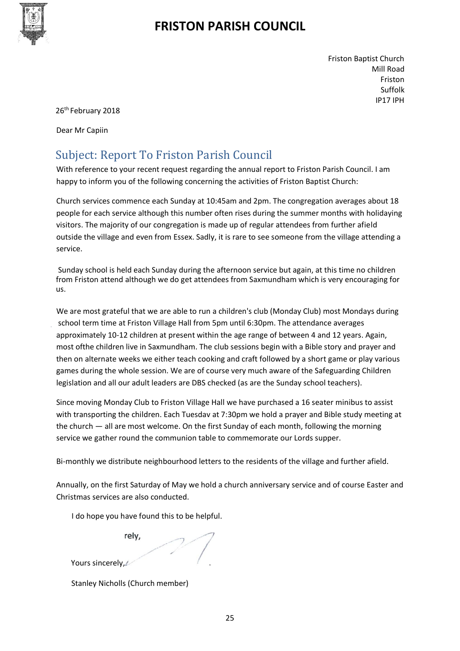

Friston Baptist Church Mill Road Friston Suffolk IP17 IPH

26<sup>th</sup> February 2018

Dear Mr Capiin

## Subject: Report To Friston Parish Council

With reference to your recent request regarding the annual report to Friston Parish Council. I am happy to inform you of the following concerning the activities of Friston Baptist Church:

Church services commence each Sunday at 10:45am and 2pm. The congregation averages about 18 people for each service although this number often rises during the summer months with holidaying visitors. The majority of our congregation is made up of regular attendees from further afield outside the village and even from Essex. Sadly, it is rare to see someone from the village attending a service.

Sunday school is held each Sunday during the afternoon service but again, at this time no children from Friston attend although we do get attendees from Saxmundham which is very encouraging for us.

We are most grateful that we are able to run a children's club (Monday Club) most Mondays during school term time at Friston Village Hall from 5pm until 6:30pm. The attendance averages approximately 10-12 children at present within the age range of between 4 and 12 years. Again, most ofthe children live in Saxmundham. The club sessions begin with a Bible story and prayer and then on alternate weeks we either teach cooking and craft followed by a short game or play various games during the whole session. We are of course very much aware of the Safeguarding Children legislation and all our adult leaders are DBS checked (as are the Sunday school teachers).

Since moving Monday Club to Friston Village Hall we have purchased a 16 seater minibus to assist with transporting the children. Each Tuesdav at 7:30pm we hold a prayer and Bible study meeting at the church — all are most welcome. On the first Sunday of each month, following the morning service we gather round the communion table to commemorate our Lords supper.

Bi-monthly we distribute neighbourhood letters to the residents of the village and further afield.

Annually, on the first Saturday of May we hold a church anniversary service and of course Easter and Christmas services are also conducted.

I do hope you have found this to be helpful.

rely,

Yours sincerely,

Stanley Nicholls (Church member)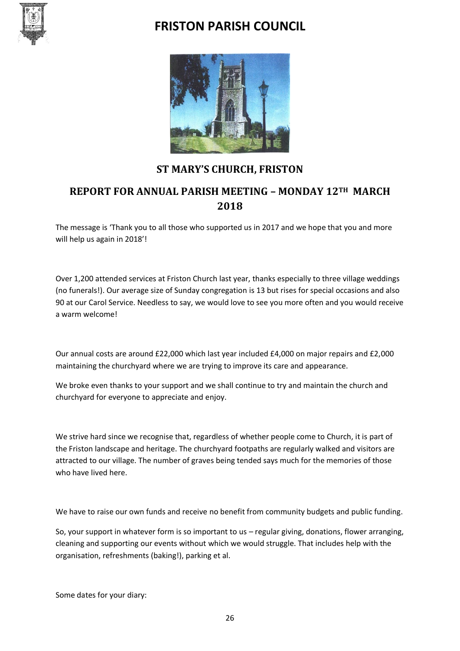



### **ST MARY'S CHURCH, FRISTON**

### **REPORT FOR ANNUAL PARISH MEETING – MONDAY 12TH MARCH 2018**

The message is 'Thank you to all those who supported us in 2017 and we hope that you and more will help us again in 2018'!

Over 1,200 attended services at Friston Church last year, thanks especially to three village weddings (no funerals!). Our average size of Sunday congregation is 13 but rises for special occasions and also 90 at our Carol Service. Needless to say, we would love to see you more often and you would receive a warm welcome!

Our annual costs are around £22,000 which last year included £4,000 on major repairs and £2,000 maintaining the churchyard where we are trying to improve its care and appearance.

We broke even thanks to your support and we shall continue to try and maintain the church and churchyard for everyone to appreciate and enjoy.

We strive hard since we recognise that, regardless of whether people come to Church, it is part of the Friston landscape and heritage. The churchyard footpaths are regularly walked and visitors are attracted to our village. The number of graves being tended says much for the memories of those who have lived here.

We have to raise our own funds and receive no benefit from community budgets and public funding.

So, your support in whatever form is so important to us – regular giving, donations, flower arranging, cleaning and supporting our events without which we would struggle. That includes help with the organisation, refreshments (baking!), parking et al.

Some dates for your diary: